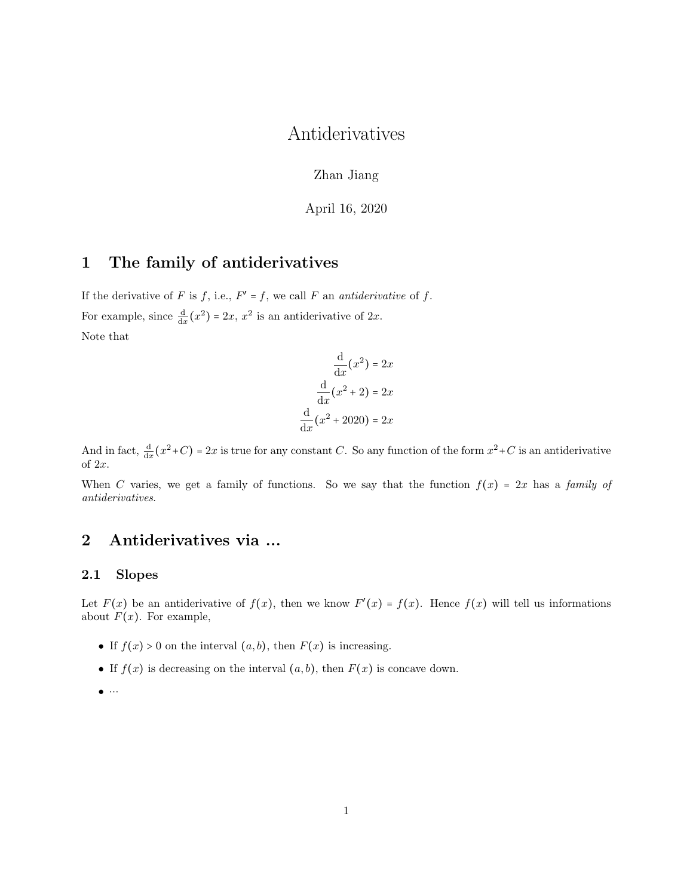# Antiderivatives

Zhan Jiang

April 16, 2020

## 1 The family of antiderivatives

If the derivative of F is f, i.e.,  $F' = f$ , we call F an *antiderivative* of f. For example, since  $\frac{d}{dx}(x^2) = 2x$ ,  $x^2$  is an antiderivative of  $2x$ . Note that

$$
\frac{d}{dx}(x^2) = 2x
$$

$$
\frac{d}{dx}(x^2 + 2) = 2x
$$

$$
\frac{d}{dx}(x^2 + 2020) = 2x
$$

And in fact,  $\frac{d}{dx}(x^2+C) = 2x$  is true for any constant C. So any function of the form  $x^2+C$  is an antiderivative of 2x.

When C varies, we get a family of functions. So we say that the function  $f(x) = 2x$  has a family of antiderivatives.

## 2 Antiderivatives via ...

## 2.1 Slopes

Let  $F(x)$  be an antiderivative of  $f(x)$ , then we know  $F'(x) = f(x)$ . Hence  $f(x)$  will tell us informations about  $F(x)$ . For example,

- If  $f(x) > 0$  on the interval  $(a, b)$ , then  $F(x)$  is increasing.
- If  $f(x)$  is decreasing on the interval  $(a, b)$ , then  $F(x)$  is concave down.
- $\bullet\quadcdots$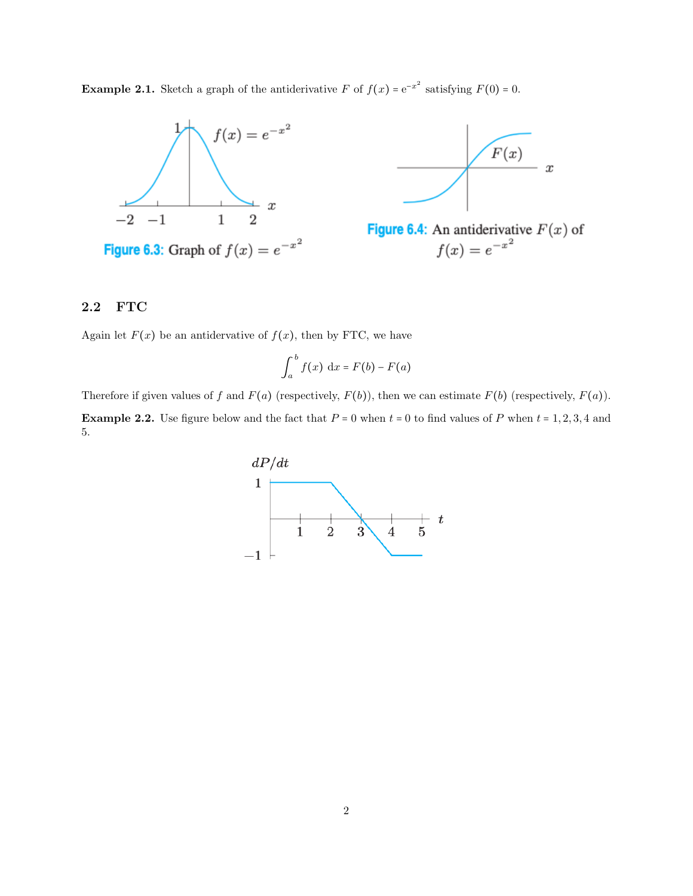**Example 2.1.** Sketch a graph of the antiderivative F of  $f(x) = e^{-x^2}$  satisfying  $F(0) = 0$ .





**Figure 6.4:** An antiderivative  $F(x)$  of  $f(x) = e^{-x^2}$ 

## 2.2 FTC

Again let  $F(x)$  be an antidervative of  $f(x)$ , then by FTC, we have

$$
\int_a^b f(x) \, \mathrm{d}x = F(b) - F(a)
$$

Therefore if given values of f and  $F(a)$  (respectively,  $F(b)$ ), then we can estimate  $F(b)$  (respectively,  $F(a)$ ). **Example 2.2.** Use figure below and the fact that  $P = 0$  when  $t = 0$  to find values of P when  $t = 1, 2, 3, 4$  and 5.

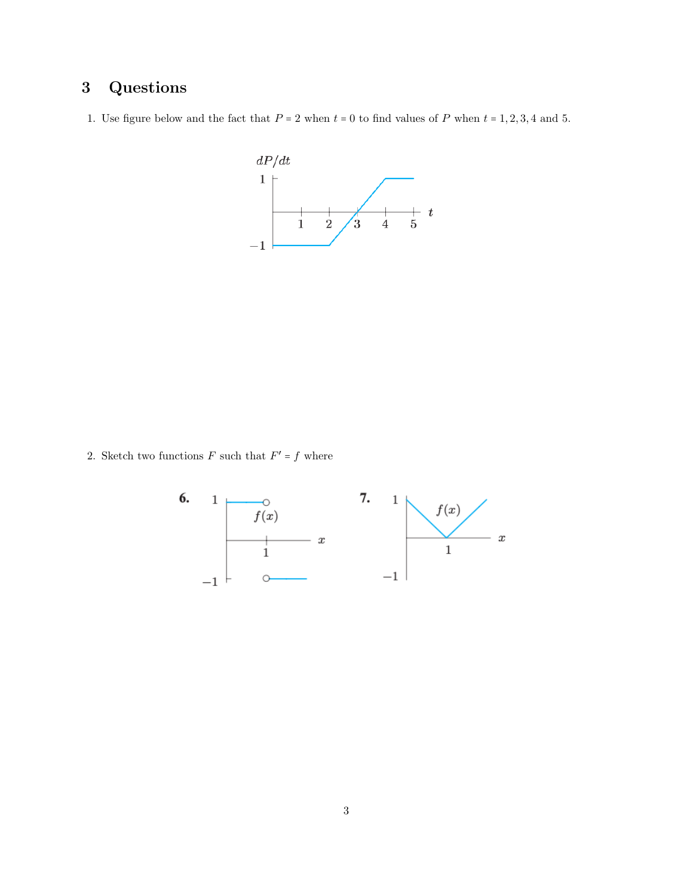# 3 Questions

1. Use figure below and the fact that  $P = 2$  when  $t = 0$  to find values of P when  $t = 1, 2, 3, 4$  and 5.



2. Sketch two functions  $F$  such that  $F' = f$  where

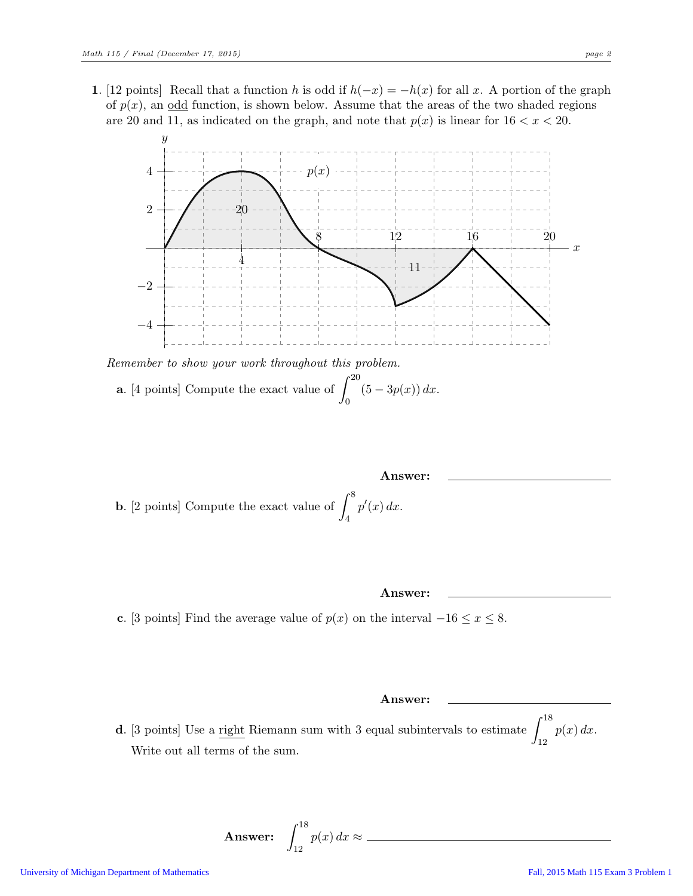1. [12 points] Recall that a function h is odd if  $h(-x) = -h(x)$  for all x. A portion of the graph of  $p(x)$ , an odd function, is shown below. Assume that the areas of the two shaded regions are 20 and 11, as indicated on the graph, and note that  $p(x)$  is linear for  $16 < x < 20$ .



**a.** [4 points] Compute the exact value of  $\int_0^{20} (5 - 3p(x)) dx$ .

**Answer:**  
**b.** [2 points] Compute the exact value of 
$$
\int_{4}^{8} p'(x) dx
$$
.

Answer:

c. [3 points] Find the average value of  $p(x)$  on the interval  $-16 \le x \le 8$ .

Answer:

**d**. [3 points] Use a <u>right</u> Riemann sum with 3 equal subintervals to estimate  $\int_{12}^{18} p(x) dx$ . Write out all terms of the sum.

**Answer:** 
$$
\int_{12}^{18} p(x) dx \approx
$$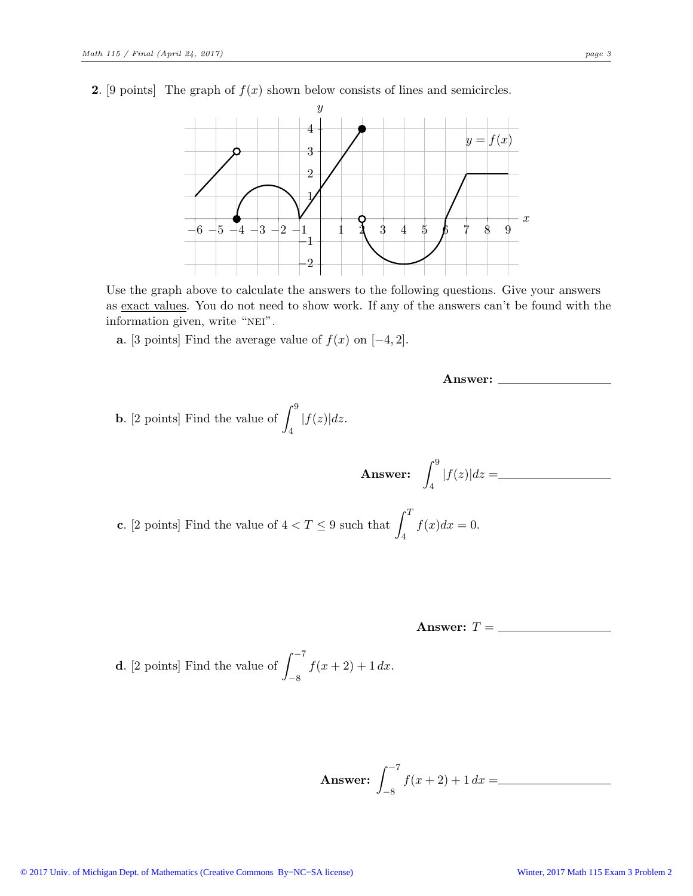**2.** [9 points] The graph of  $f(x)$  shown below consists of lines and semicircles.



Use the graph above to calculate the answers to the following questions. Give your answers as exact values. You do not need to show work. If any of the answers can't be found with the information given, write "NEI".

a. [3 points] Find the average value of  $f(x)$  on  $[-4, 2]$ .

**b.** [2 points] Find the value of 
$$
\int_4^9 |f(z)| dz
$$
.

c. [2 points] Find the value of  $4 < T \leq 9$  such  $\int_{4}^{1} f(x)dx = 0.$ 

Answer:  $T = \underline{\hspace{2cm}}$ 

**d.** [2 points] Find the value of 
$$
\int_{-8}^{-7} f(x+2) + 1 dx.
$$

**Answer:** 
$$
\int_{-8}^{-7} f(x+2) + 1 dx =
$$

**Answer:** 
$$
\int_{4}^{9} |f(z)| dz =
$$

Answer: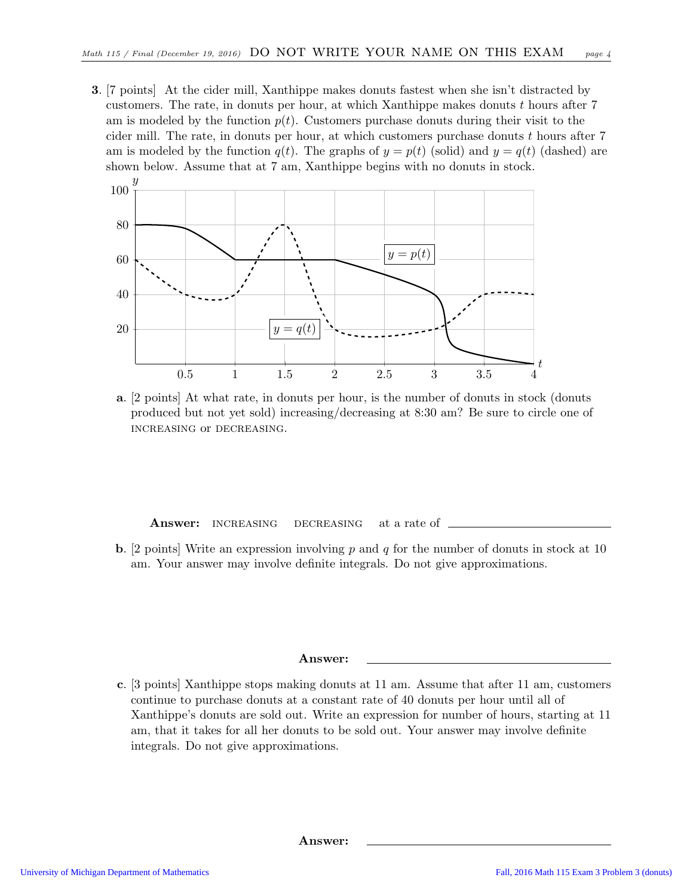3. [7 points] At the cider mill, Xanthippe makes donuts fastest when she isn't distracted by customers. The rate, in donuts per hour, at which Xanthippe makes donuts  $t$  hours after  $7$ am is modeled by the function  $p(t)$ . Customers purchase donuts during their visit to the cider mill. The rate, in donuts per hour, at which customers purchase donuts  $t$  hours after  $7$ am is modeled by the function  $q(t)$ . The graphs of  $y = p(t)$  (solid) and  $y = q(t)$  (dashed) are shown below. Assume that at 7 am, Xanthippe begins with no donuts in stock.



a. [2 points] At what rate, in donuts per hour, is the number of donuts in stock (donuts produced but not yet sold) increasing/decreasing at 8:30 am? Be sure to circle one of increasing or decreasing.

Answer: INCREASING DECREASING at a rate of

**b.** [2 points] Write an expression involving p and q for the number of donuts in stock at 10 am. Your answer may involve definite integrals. Do not give approximations.

#### Answer:

c. [3 points] Xanthippe stops making donuts at 11 am. Assume that after 11 am, customers continue to purchase donuts at a constant rate of 40 donuts per hour until all of Xanthippe's donuts are sold out. Write an expression for number of hours, starting at 11 am, that it takes for all her donuts to be sold out. Your answer may involve definite integrals. Do not give approximations.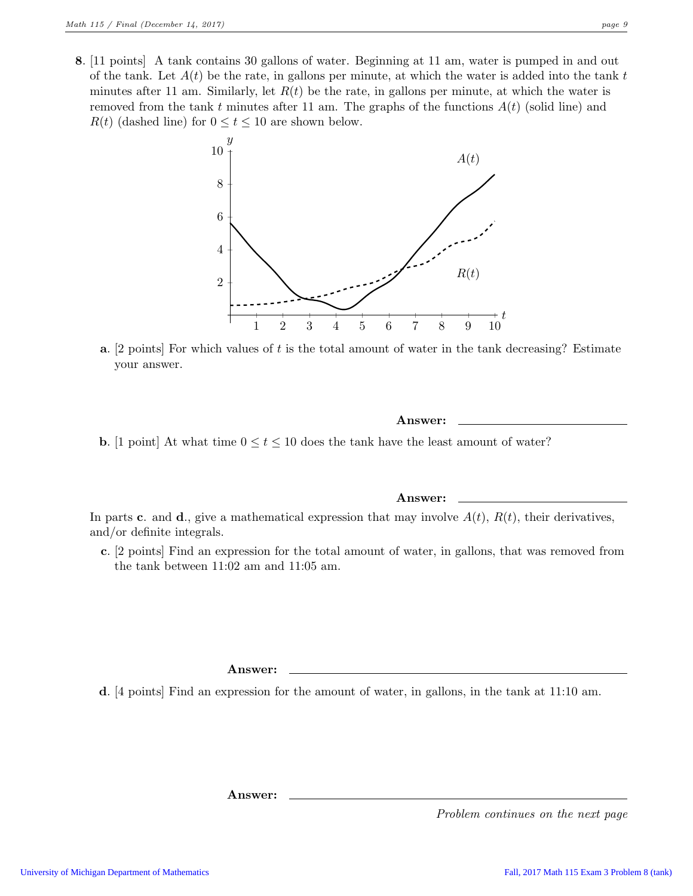- 
- 8. [11 points] A tank contains 30 gallons of water. Beginning at 11 am, water is pumped in and out of the tank. Let  $A(t)$  be the rate, in gallons per minute, at which the water is added into the tank t minutes after 11 am. Similarly, let  $R(t)$  be the rate, in gallons per minute, at which the water is removed from the tank t minutes after 11 am. The graphs of the functions  $A(t)$  (solid line) and  $R(t)$  (dashed line) for  $0 \le t \le 10$  are shown below.



**a.** [2 points] For which values of t is the total amount of water in the tank decreasing? Estimate your answer.

### Answer:

**b.** [1 point] At what time  $0 \le t \le 10$  does the tank have the least amount of water?

### Answer:

In parts c. and d., give a mathematical expression that may involve  $A(t)$ ,  $R(t)$ , their derivatives, and/or definite integrals.

c. [2 points] Find an expression for the total amount of water, in gallons, that was removed from the tank between 11:02 am and 11:05 am.

Answer:

d. [4 points] Find an expression for the amount of water, in gallons, in the tank at 11:10 am.

Answer: